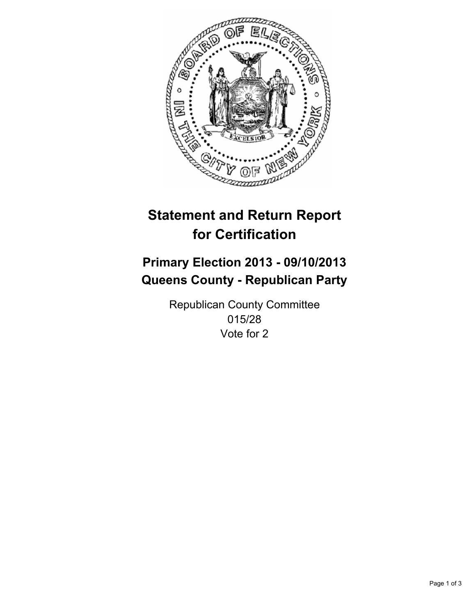

# **Statement and Return Report for Certification**

# **Primary Election 2013 - 09/10/2013 Queens County - Republican Party**

Republican County Committee 015/28 Vote for 2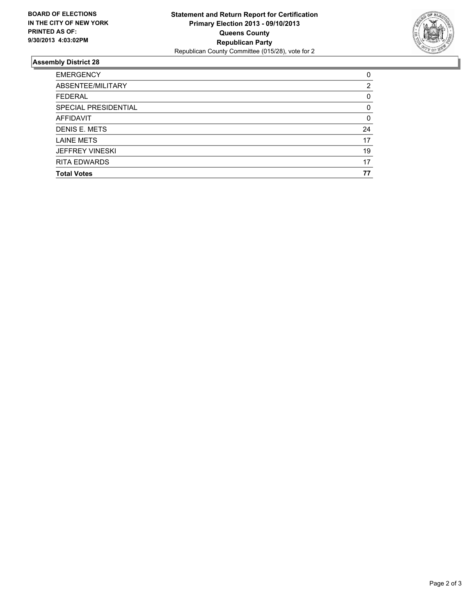

## **Assembly District 28**

| ABSENTEE/MILITARY<br><b>FEDERAL</b><br>SPECIAL PRESIDENTIAL | 0        |
|-------------------------------------------------------------|----------|
|                                                             | 2        |
|                                                             | 0        |
|                                                             | 0        |
| AFFIDAVIT                                                   | $\Omega$ |
| DENIS E. METS                                               | 24       |
| <b>LAINE METS</b>                                           | 17       |
| <b>JEFFREY VINESKI</b>                                      | 19       |
| <b>RITA EDWARDS</b>                                         | 17       |
| <b>Total Votes</b>                                          | 77       |